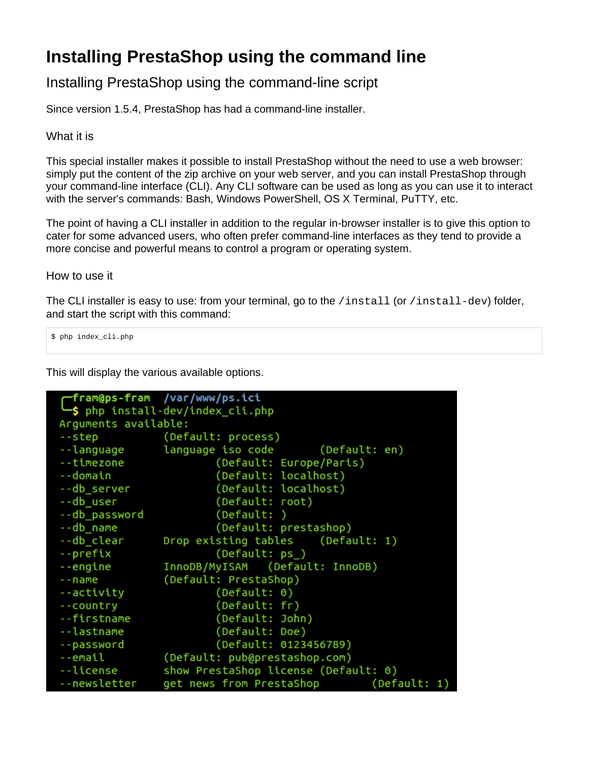## **Installing PrestaShop using the command line**

## Installing PrestaShop using the command-line script

Since version 1.5.4, PrestaShop has had a command-line installer.

What it is

This special installer makes it possible to install PrestaShop without the need to use a web browser: simply put the content of the zip archive on your web server, and you can install PrestaShop through your command-line interface (CLI). Any CLI software can be used as long as you can use it to interact with the server's commands: Bash, Windows PowerShell, OS X Terminal, PuTTY, etc.

The point of having a CLI installer in addition to the regular in-browser installer is to give this option to cater for some advanced users, who often prefer command-line interfaces as they tend to provide a more concise and powerful means to control a program or operating system.

How to use it

The CLI installer is easy to use: from your terminal, go to the /install (or /install-dev) folder, and start the script with this command:

\$ php index\_cli.php

This will display the various available options.

```
/var/www/ps.ici
  fram@ps-fram
  $ php install-dev/index_cli.php
Arguments available:
                 (Default: process)
--step
--language
                 language iso code
                                          (Default: en)
--timezone
                         (Default: Europe/Paris)
--domain
                         (Default: localhost)
--db server
                         (Default: localhost)
--db user
                         (Default: root)
--db_password
                         (Default: )
                         (Default: prestashop)
--db_name
--db clear
                Drop existing tables
                                          (Default: 1)
--prefix
                         (Default: ps_)
                 InnoDB/MyISAM
                                 (Default: InnoDB)
--engine
--name
                 (Default: PrestaShop)
                         (Default: 0)
--activity
                         (Default: fr)
--country
                         (Default: John)
--firstname
--lastname
                         (Default: Doe)
                         (Default: 0123456789)
--password
--email
                 (Default: pub@prestashop.com)
--license
                 show PrestaShop license (Default: 0)
                get news from PrestaShop
--newsletter
                                                  (Default: 1)
```